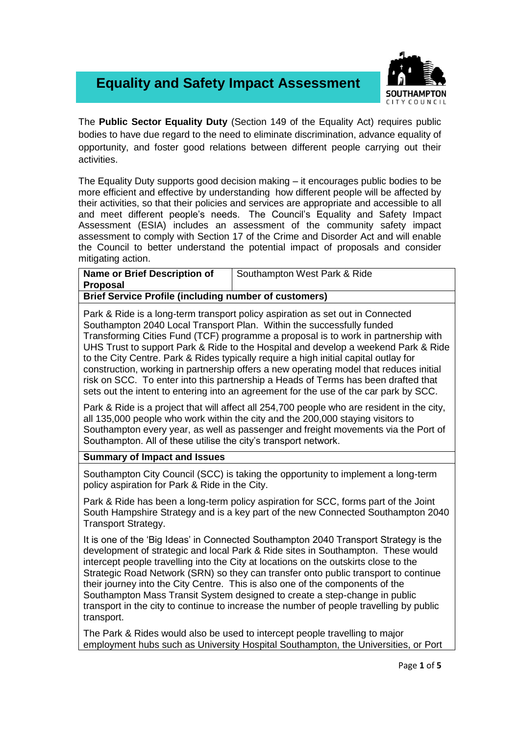## **Equality and Safety Impact Assessment**



The **Public Sector Equality Duty** (Section 149 of the Equality Act) requires public bodies to have due regard to the need to eliminate discrimination, advance equality of opportunity, and foster good relations between different people carrying out their activities.

The Equality Duty supports good decision making – it encourages public bodies to be more efficient and effective by understanding how different people will be affected by their activities, so that their policies and services are appropriate and accessible to all and meet different people's needs. The Council's Equality and Safety Impact Assessment (ESIA) includes an assessment of the community safety impact assessment to comply with Section 17 of the Crime and Disorder Act and will enable the Council to better understand the potential impact of proposals and consider mitigating action.

| <b>Name or Brief Description of</b>                                            | Southampton West Park & Ride |  |
|--------------------------------------------------------------------------------|------------------------------|--|
| Proposal                                                                       |                              |  |
| <b>Brief Service Profile (including number of customers)</b>                   |                              |  |
| Park & Ride is a long-term transport policy aspiration as set out in Connected |                              |  |

Southampton 2040 Local Transport Plan. Within the successfully funded Transforming Cities Fund (TCF) programme a proposal is to work in partnership with UHS Trust to support Park & Ride to the Hospital and develop a weekend Park & Ride to the City Centre. Park & Rides typically require a high initial capital outlay for construction, working in partnership offers a new operating model that reduces initial risk on SCC. To enter into this partnership a Heads of Terms has been drafted that sets out the intent to entering into an agreement for the use of the car park by SCC.

Park & Ride is a project that will affect all 254,700 people who are resident in the city, all 135,000 people who work within the city and the 200,000 staying visitors to Southampton every year, as well as passenger and freight movements via the Port of Southampton. All of these utilise the city's transport network.

## **Summary of Impact and Issues**

Southampton City Council (SCC) is taking the opportunity to implement a long-term policy aspiration for Park & Ride in the City.

Park & Ride has been a long-term policy aspiration for SCC, forms part of the Joint South Hampshire Strategy and is a key part of the new Connected Southampton 2040 Transport Strategy.

It is one of the 'Big Ideas' in Connected Southampton 2040 Transport Strategy is the development of strategic and local Park & Ride sites in Southampton. These would intercept people travelling into the City at locations on the outskirts close to the Strategic Road Network (SRN) so they can transfer onto public transport to continue their journey into the City Centre. This is also one of the components of the Southampton Mass Transit System designed to create a step-change in public transport in the city to continue to increase the number of people travelling by public transport.

The Park & Rides would also be used to intercept people travelling to major employment hubs such as University Hospital Southampton, the Universities, or Port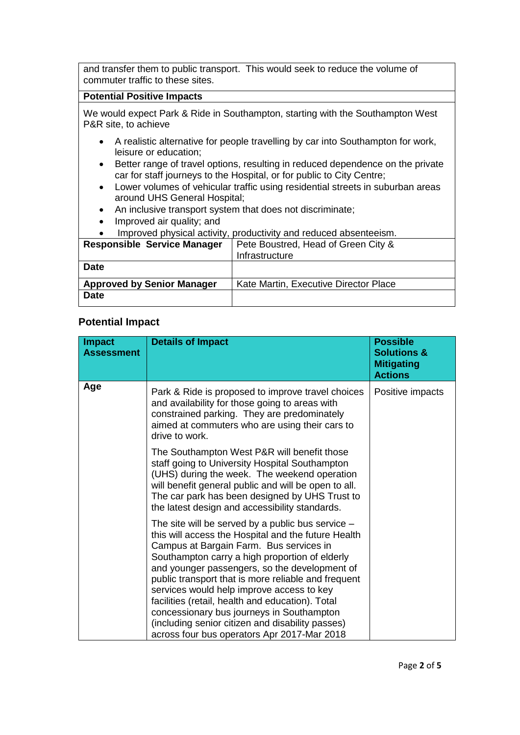and transfer them to public transport. This would seek to reduce the volume of commuter traffic to these sites.

## **Potential Positive Impacts**

We would expect Park & Ride in Southampton, starting with the Southampton West P&R site, to achieve

- A realistic alternative for people travelling by car into Southampton for work, leisure or education;
- Better range of travel options, resulting in reduced dependence on the private car for staff journeys to the Hospital, or for public to City Centre;
- Lower volumes of vehicular traffic using residential streets in suburban areas around UHS General Hospital;
- An inclusive transport system that does not discriminate;
- Improved air quality; and

|   | Improved physical activity, productivity and reduced absenteeism.                          |
|---|--------------------------------------------------------------------------------------------|
|   | <b>Responsible Service Manager</b>   Pete Boustred, Head of Green City &<br>Infrastructure |
| . |                                                                                            |

| <b>Date</b>                       |                                       |
|-----------------------------------|---------------------------------------|
| <b>Approved by Senior Manager</b> | Kate Martin, Executive Director Place |
| <b>Date</b>                       |                                       |

## **Potential Impact**

| Impact<br>Assessment | <b>Details of Impact</b>                                                                                                                                                                                                                                                                                                                                                                                                                                                                                                                                       | <b>Possible</b><br><b>Solutions &amp;</b><br><b>Mitigating</b><br><b>Actions</b> |
|----------------------|----------------------------------------------------------------------------------------------------------------------------------------------------------------------------------------------------------------------------------------------------------------------------------------------------------------------------------------------------------------------------------------------------------------------------------------------------------------------------------------------------------------------------------------------------------------|----------------------------------------------------------------------------------|
| Age                  | Park & Ride is proposed to improve travel choices<br>and availability for those going to areas with<br>constrained parking. They are predominately<br>aimed at commuters who are using their cars to<br>drive to work.                                                                                                                                                                                                                                                                                                                                         | Positive impacts                                                                 |
|                      | The Southampton West P&R will benefit those<br>staff going to University Hospital Southampton<br>(UHS) during the week. The weekend operation<br>will benefit general public and will be open to all.<br>The car park has been designed by UHS Trust to<br>the latest design and accessibility standards.                                                                                                                                                                                                                                                      |                                                                                  |
|                      | The site will be served by a public bus service -<br>this will access the Hospital and the future Health<br>Campus at Bargain Farm. Bus services in<br>Southampton carry a high proportion of elderly<br>and younger passengers, so the development of<br>public transport that is more reliable and frequent<br>services would help improve access to key<br>facilities (retail, health and education). Total<br>concessionary bus journeys in Southampton<br>(including senior citizen and disability passes)<br>across four bus operators Apr 2017-Mar 2018 |                                                                                  |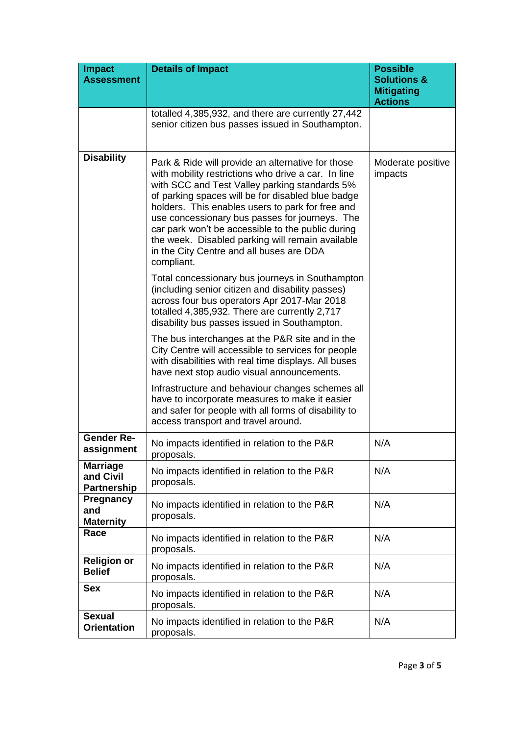| <b>Impact</b><br><b>Assessment</b>                 | <b>Details of Impact</b>                                                                                                                                                                                                                                                                                                                                                                                                                                                                | <b>Possible</b><br><b>Solutions &amp;</b><br><b>Mitigating</b><br><b>Actions</b> |
|----------------------------------------------------|-----------------------------------------------------------------------------------------------------------------------------------------------------------------------------------------------------------------------------------------------------------------------------------------------------------------------------------------------------------------------------------------------------------------------------------------------------------------------------------------|----------------------------------------------------------------------------------|
|                                                    | totalled 4,385,932, and there are currently 27,442<br>senior citizen bus passes issued in Southampton.                                                                                                                                                                                                                                                                                                                                                                                  |                                                                                  |
| <b>Disability</b>                                  | Park & Ride will provide an alternative for those<br>with mobility restrictions who drive a car. In line<br>with SCC and Test Valley parking standards 5%<br>of parking spaces will be for disabled blue badge<br>holders. This enables users to park for free and<br>use concessionary bus passes for journeys. The<br>car park won't be accessible to the public during<br>the week. Disabled parking will remain available<br>in the City Centre and all buses are DDA<br>compliant. | Moderate positive<br>impacts                                                     |
|                                                    | Total concessionary bus journeys in Southampton<br>(including senior citizen and disability passes)<br>across four bus operators Apr 2017-Mar 2018<br>totalled 4,385,932. There are currently 2,717<br>disability bus passes issued in Southampton.                                                                                                                                                                                                                                     |                                                                                  |
|                                                    | The bus interchanges at the P&R site and in the<br>City Centre will accessible to services for people<br>with disabilities with real time displays. All buses<br>have next stop audio visual announcements.                                                                                                                                                                                                                                                                             |                                                                                  |
|                                                    | Infrastructure and behaviour changes schemes all<br>have to incorporate measures to make it easier<br>and safer for people with all forms of disability to<br>access transport and travel around.                                                                                                                                                                                                                                                                                       |                                                                                  |
| <b>Gender Re-</b><br>assignment                    | No impacts identified in relation to the P&R<br>proposals.                                                                                                                                                                                                                                                                                                                                                                                                                              | N/A                                                                              |
| <b>Marriage</b><br>and Civil<br><b>Partnership</b> | No impacts identified in relation to the P&R<br>proposals.                                                                                                                                                                                                                                                                                                                                                                                                                              | N/A                                                                              |
| <b>Pregnancy</b><br>and<br><b>Maternity</b>        | No impacts identified in relation to the P&R<br>proposals.                                                                                                                                                                                                                                                                                                                                                                                                                              | N/A                                                                              |
| Race                                               | No impacts identified in relation to the P&R<br>proposals.                                                                                                                                                                                                                                                                                                                                                                                                                              | N/A                                                                              |
| <b>Religion or</b><br><b>Belief</b>                | No impacts identified in relation to the P&R<br>proposals.                                                                                                                                                                                                                                                                                                                                                                                                                              | N/A                                                                              |
| <b>Sex</b>                                         | No impacts identified in relation to the P&R<br>proposals.                                                                                                                                                                                                                                                                                                                                                                                                                              | N/A                                                                              |
| <b>Sexual</b><br><b>Orientation</b>                | No impacts identified in relation to the P&R<br>proposals.                                                                                                                                                                                                                                                                                                                                                                                                                              | N/A                                                                              |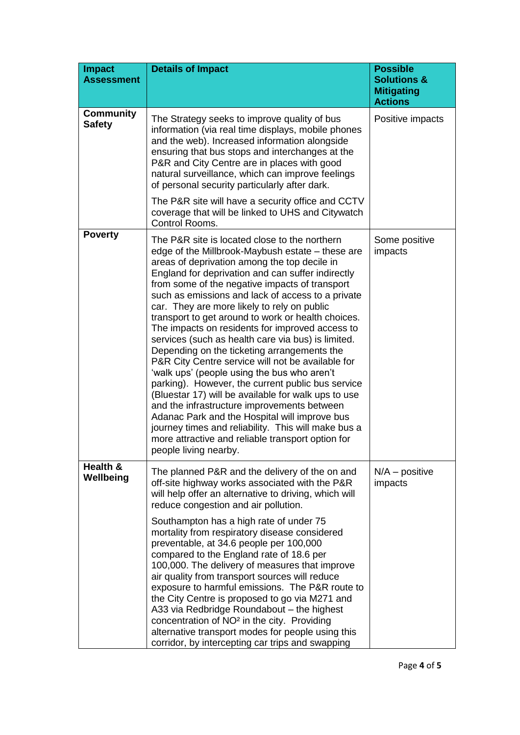| <b>Impact</b><br><b>Assessment</b> | <b>Details of Impact</b>                                                                                                                                                                                                                                                                                                                                                                                                                                                                                                                                                                                                                                                                                                                                                                                                                                                                                                                                                                                                        | <b>Possible</b><br><b>Solutions &amp;</b><br><b>Mitigating</b><br><b>Actions</b> |
|------------------------------------|---------------------------------------------------------------------------------------------------------------------------------------------------------------------------------------------------------------------------------------------------------------------------------------------------------------------------------------------------------------------------------------------------------------------------------------------------------------------------------------------------------------------------------------------------------------------------------------------------------------------------------------------------------------------------------------------------------------------------------------------------------------------------------------------------------------------------------------------------------------------------------------------------------------------------------------------------------------------------------------------------------------------------------|----------------------------------------------------------------------------------|
| <b>Community</b><br><b>Safety</b>  | The Strategy seeks to improve quality of bus<br>information (via real time displays, mobile phones<br>and the web). Increased information alongside<br>ensuring that bus stops and interchanges at the<br>P&R and City Centre are in places with good<br>natural surveillance, which can improve feelings<br>of personal security particularly after dark.                                                                                                                                                                                                                                                                                                                                                                                                                                                                                                                                                                                                                                                                      | Positive impacts                                                                 |
|                                    | The P&R site will have a security office and CCTV<br>coverage that will be linked to UHS and Citywatch<br>Control Rooms.                                                                                                                                                                                                                                                                                                                                                                                                                                                                                                                                                                                                                                                                                                                                                                                                                                                                                                        |                                                                                  |
| <b>Poverty</b>                     | The P&R site is located close to the northern<br>edge of the Millbrook-Maybush estate – these are<br>areas of deprivation among the top decile in<br>England for deprivation and can suffer indirectly<br>from some of the negative impacts of transport<br>such as emissions and lack of access to a private<br>car. They are more likely to rely on public<br>transport to get around to work or health choices.<br>The impacts on residents for improved access to<br>services (such as health care via bus) is limited.<br>Depending on the ticketing arrangements the<br>P&R City Centre service will not be available for<br>'walk ups' (people using the bus who aren't<br>parking). However, the current public bus service<br>(Bluestar 17) will be available for walk ups to use<br>and the infrastructure improvements between<br>Adanac Park and the Hospital will improve bus<br>journey times and reliability. This will make bus a<br>more attractive and reliable transport option for<br>people living nearby. | Some positive<br>impacts                                                         |
| Health &<br>Wellbeing              | The planned P&R and the delivery of the on and<br>off-site highway works associated with the P&R<br>will help offer an alternative to driving, which will<br>reduce congestion and air pollution.                                                                                                                                                                                                                                                                                                                                                                                                                                                                                                                                                                                                                                                                                                                                                                                                                               | $N/A - positive$<br>impacts                                                      |
|                                    | Southampton has a high rate of under 75<br>mortality from respiratory disease considered<br>preventable, at 34.6 people per 100,000<br>compared to the England rate of 18.6 per<br>100,000. The delivery of measures that improve<br>air quality from transport sources will reduce<br>exposure to harmful emissions. The P&R route to<br>the City Centre is proposed to go via M271 and<br>A33 via Redbridge Roundabout - the highest<br>concentration of NO <sup>2</sup> in the city. Providing<br>alternative transport modes for people using this<br>corridor, by intercepting car trips and swapping                                                                                                                                                                                                                                                                                                                                                                                                                      |                                                                                  |